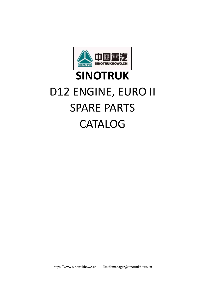

## **[SINOTRUK](https://www.sinotrukhowo.cn/)** D12 ENGINE, EURO II SPARE PARTS CATALOG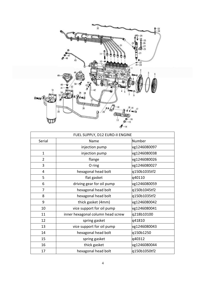

|                | FUEL SUPPLY, D12 EURO-II ENGINE   |               |
|----------------|-----------------------------------|---------------|
| Serial         | Name                              | <b>Number</b> |
|                | injection pump                    | vg1246080097  |
| $\mathbf{1}$   | injection pump                    | vg1246080038  |
| $\overline{2}$ | flange                            | vg1246080026  |
| 3              | O ring                            | vg1246080027  |
| $\overline{4}$ | hexagonal head bolt               | q150b1035tf2  |
| 5              | flat gasket                       | q40110        |
| 6              | driving gear for oil pump         | vg1246080059  |
| $\overline{7}$ | hexagonal head bolt               | q150b1045tf2  |
| 8              | hexagonal head bolt               | q150b1035tf2  |
| 9              | thick gasket (4mm)                | vg1246080042  |
| 10             | vice support for oil pump         | vg1246080041  |
| 11             | inner hexagonal column head screw | q218b10100    |
| 12             | spring gasket                     | q41810        |
| 13             | vice support for oil pump         | vg1246080043  |
| 14             | hexagonal head bolt               | q150b1250     |
| 15             | spring gasket                     | q40312        |
| 16             | thick gasket                      | vg1246080044  |
| 17             | hexagonal head bolt               | q150b1050tf2  |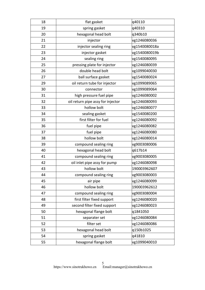| 18 | flat gasket                       | q40110        |
|----|-----------------------------------|---------------|
| 19 | spring gasket                     | q40310        |
| 20 | hexagonal head bolt               | q340b10       |
| 21 | injector                          | vg1246080036  |
| 22 | injector sealing ring             | vg1540080018a |
| 23 | injector gasket                   | vg1540080019b |
| 24 | sealing ring                      | vg1540080095  |
| 25 | pressing plate for injector       | vg1246080039  |
| 26 | double head bolt                  | vg1099040030  |
| 27 | ball surface gasket               | vg1540080024  |
| 29 | oil return tube for injector      | vg1099089065  |
| 30 | connector                         | vg1099089064  |
| 31 | high pressure fuel pipe           | vg1246080002  |
| 32 | oil return pipe assy for injector | vg1246080093  |
| 33 | hollow bolt                       | vg1246080077  |
| 34 | sealing gasket                    | vg1540080200  |
| 35 | first filter for fuel             | vg1246080092  |
| 36 | fuel pipe                         | vg1246080082  |
| 37 | fuel pipe                         | vg1246080080  |
| 38 | hollow bolt                       | vg1246080014  |
| 39 | compound sealing ring             | vg9003080006  |
| 40 | hexagonal head bolt               | q617b14       |
| 41 | compound sealing ring             | vg9003080005  |
| 42 | oil inlet pipe assy for pump      | vg1246080098  |
| 43 | hollow bolt                       | 190003962607  |
| 44 | compound sealing ring             | vg9003080003  |
| 45 | air pipe                          | vg1246080099  |
| 46 | hollow bolt                       | 190003962612  |
| 47 | compound sealing ring             | vg9003080004  |
| 48 | first filter fixed support        | vg1246080020  |
| 49 | second filter fixed support       | vg1246080023  |
| 50 | hexagonal flange bolt             | q1841050      |
| 51 | separater set                     | vg1246080084  |
| 52 | filter set                        | vg1246080086  |
| 53 | hexagonal head bolt               | q150b1025     |
| 54 | spring gasket                     | q41810        |
| 55 | hexagonal flange bolt             | vg1099040010  |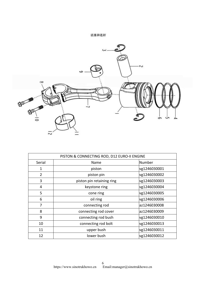活塞和连杆



| PISTON & CONNECTING ROD, D12 EURO-II ENGINE |                           |              |
|---------------------------------------------|---------------------------|--------------|
| Serial                                      | Name                      | Number       |
| 1                                           | piston                    | vg1246030001 |
| 2                                           | piston pin                | vg1246030002 |
| 3                                           | piston pin retaining ring | vg1246030003 |
| 4                                           | keystone ring             | vg1246030004 |
| 5                                           | cone ring                 | vg1246030005 |
| 6                                           | oil ring                  | vg1246030006 |
| 7                                           | connecting rod            | az1246030008 |
| 8                                           | connecting rod cover      | az1246030009 |
| 9                                           | connecting rod bush       | vg1246030010 |
| 10                                          | connecting rod bolt       | vg1246030013 |
| 11                                          | upper bush                | vg1246030011 |
| 12                                          | lower bush                | vg1246030012 |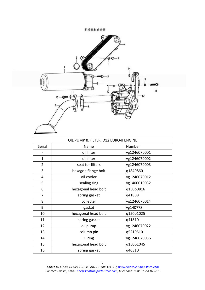

|                | OIL PUMP & FILTER, D12 EURO-II ENGINE |              |
|----------------|---------------------------------------|--------------|
| Serial         | Name                                  | Number       |
|                | oil filter                            | vg1246070001 |
| $\mathbf 1$    | oil filter                            | vg1246070002 |
| $\overline{2}$ | seat for filters                      | vg1246070003 |
| 3              | hexagon flange bolt                   | q1840860     |
| 4              | oil cooler                            | vg1246070012 |
| 5              | sealing ring                          | vg1400010032 |
| 6              | hexagonal head bolt                   | q150b0816    |
| 7              | spring gasket                         | q41808       |
| 8              | collecter                             | vg1246070014 |
| 9              | gasket                                | vg140778     |
| 10             | hexagonal head bolt                   | q150b1025    |
| 11             | spring gasket                         | q41810       |
| 12             | oil pump                              | vg1246070022 |
| 13             | column pin                            | q5210510     |
| 14             | O ring                                | vg1246070036 |
| 15             | hexagonal head bolt                   | q150b1045    |
| 16             | spring gasket                         | q40310       |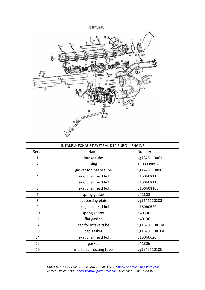## 进排气系统



| INTAKE & EXHAUST SYSTEM, D12 EURO-II ENGINE |                        |               |
|---------------------------------------------|------------------------|---------------|
| Serial                                      | Name                   | Number        |
| $\mathbf 1$                                 | intake tube            | vg1246110061  |
| $\overline{2}$                              | plug                   | 190003989286  |
| 3                                           | gasket for intake tube | vg1246110006  |
| 4                                           | hexagonal head bolt    | q150b08115    |
| 5                                           | hexagonal head bolt    | q150b08110    |
| 6                                           | hexagonal head bolt    | q150b08100    |
| 7                                           | spring gasket          | q41808        |
| 8                                           | supporting plate       | vg1246110203  |
| 9                                           | hexagonal head bolt    | q150b0620     |
| 10                                          | spring gasket          | q40306        |
| 11                                          | flat gasket            | q40106        |
| 12                                          | cap for intake tube    | vg1540110011a |
| 13                                          | cap gasket             | vg1540110018a |
| 14                                          | hexagonal head bolt    | q150b0620     |
| 15                                          | gasket                 | q41806        |
| 16                                          | intake connecting tube | vg1246110100  |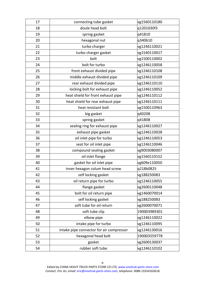| 17 | connecting tube gasket                   | vg1560110180 |
|----|------------------------------------------|--------------|
| 18 | doule head bolt                          | q1201030f3   |
| 19 | spring gasket                            | q41810       |
| 20 | hexagonal nut                            | q340b10      |
| 21 | turbo charger                            | vg1246110021 |
| 22 | turbo charger gasket                     | vg1540110017 |
| 23 | bolt                                     | vg1500110002 |
| 24 | bolt for turbo                           | vg1246110058 |
| 25 | front exhaust divided pipe               | vg1246110108 |
| 26 | middle exhaust divided pipe              | vg1246110109 |
| 27 | rear exhaust divided pipe                | vg1246110110 |
| 28 | locking bolt for exhaust pipe            | vg1246110052 |
| 29 | heat shield for front exhaust pipe       | vg1246110112 |
| 30 | heat shield for rear exhaust pipe        | vg1246110111 |
| 31 | heat resistant bolt                      | vg1500110963 |
| 32 | big gasket                               | q40208       |
| 33 | spring gasket                            | q41808       |
| 34 | sealing ring for exhaust pipe            | vg1246110027 |
| 35 | exhaust pipe gasket                      | vg1246110028 |
| 36 | oil inlet pipe for turbo                 | vg1246110053 |
| 37 | seat for oil inlet pipe                  | vg1246110046 |
| 38 | compound sealing gasket                  | vg9003080007 |
| 39 | oil inlet flange                         | vg1560110152 |
| 40 | gasket for oil inlet pipe                | vg609e110050 |
| 41 | inner hexagon colum head screw           | q218b0825    |
| 42 | self locking gasket                      | vg188250083  |
| 43 | oil return pipe for turbo                | vg1246110055 |
| 44 | flange gasket                            | vg2600110048 |
| 45 | bolt for oil return pipe                 | vg1460070014 |
| 46 | self locking gasket                      | vg188250083  |
| 47 | soft tube for oil return                 | vg2600070071 |
| 48 | soft tube clip                           | 190003989301 |
| 49 | elbow pipe                               | vg1246110022 |
| 50 | intake pipe for turbo                    | vg1246110095 |
| 51 | intake pipe connector for air compressor | vg1246130016 |
| 52 | hexagonal head bolt                      | 190003559778 |
| 53 | gasket                                   | vg2600130037 |
| 54 | rubber soft tube                         | vg1246110102 |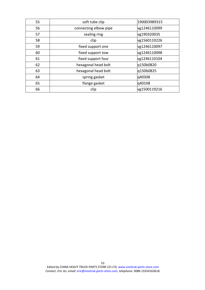| 55 | soft tube clip        | 190003989315 |  |
|----|-----------------------|--------------|--|
| 56 | connecting elbow pipe | vg1246110099 |  |
| 57 | sealing ring          | vg190320035  |  |
| 58 | clip                  | vg1560110226 |  |
| 59 | fixed support one     | vg1246110097 |  |
| 60 | fixed support tow     | vg1246110098 |  |
| 61 | fixed support four    | vg1246110104 |  |
| 62 | hexagonal head bolt   | q150b0820    |  |
| 63 | hexagonal head bolt   | q150b0825    |  |
| 64 | spring gasket         | q40308       |  |
| 65 | flange gasket         | q40108       |  |
| 66 | clip                  | vg1500119216 |  |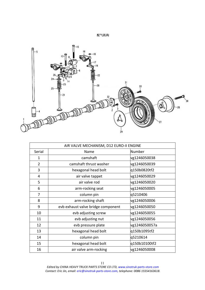配气机构



|                | AIR VALVE MECHANISM, D12 EURO-II ENGINE |               |
|----------------|-----------------------------------------|---------------|
| Serial         | Name                                    | Number        |
| $\mathbf{1}$   | camshaft                                | vg1246050038  |
| $\overline{2}$ | camshaft thrust washer                  | vg1246050039  |
| 3              | hexagonal head bolt                     | q150b0820tf2  |
| 4              | air valve tappet                        | vg1246050029  |
| 5              | air valve rod                           | vg1246050020  |
| 6              | arm-rocking seat                        | vg1246050005  |
| $\overline{7}$ | column pin                              | q5210406      |
| 8              | arm-rocking shaft                       | vg1246050006  |
| 9              | evb exhaust valve bridge component      | vg1246050050  |
| 10             | evb adjusting screw                     | vg1246050055  |
| 11             | evb adjusting nut                       | vg1246050056  |
| 12             | evb pressure plate                      | vg1246050057a |
| 13             | hexagonal head bolt                     | q150b1095tf2  |
| 14             | column pin                              | q5210614      |
| 15             | hexagonal head bolt                     | q150b10100tf2 |
| 16             | air valve arm-rocking                   | vg1246050008  |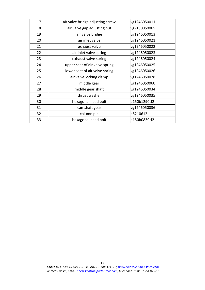| 17 | air valve bridge adjusting screw | vg1246050011 |
|----|----------------------------------|--------------|
| 18 | air valve gap adjusting nut      | vg2130050065 |
| 19 | air valve bridge                 | vg1246050013 |
| 20 | air inlet valve                  | vg1246050021 |
| 21 | exhaust valve                    | vg1246050022 |
| 22 | air inlet valve spring           | vg1246050023 |
| 23 | exhaust valve spring             | vg1246050024 |
| 24 | upper seat of air valve spring   | vg1246050025 |
| 25 | lower seat of air valve spring   | vg1246050026 |
| 26 | air valve locking clamp          | vg1246050028 |
| 27 | middle gear                      | vg1246050060 |
| 28 | middle gear shaft                | vg1246050034 |
| 29 | thrust washer                    | vg1246050035 |
| 30 | hexagonal head bolt              | q150b1290tf2 |
| 31 | camshaft gear                    | vg1246050036 |
| 32 | column pin                       | q5210612     |
| 33 | hexagonal head bolt              | q150b0830tf2 |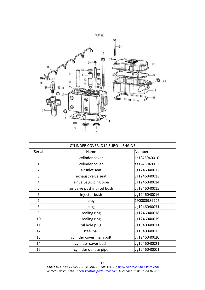

| CYLINDER COVER, D12 EURO-II ENGINE |                            |              |
|------------------------------------|----------------------------|--------------|
| Serial                             | Name                       | Number       |
|                                    | cylinder cover             | az1246040010 |
| $\mathbf{1}$                       | cylinder cover             | az1246040011 |
| $\overline{2}$                     | air inlet seat             | vg1246040012 |
| 3                                  | exhaust valve seat         | vg1246040013 |
| 4                                  | air valve guiding pipe     | vg1246040014 |
| 5                                  | air valve pushing rod bush | vg1246040015 |
| 6                                  | injector bush              | vg1246040016 |
| 7                                  | plug                       | 190003989725 |
| 8                                  | plug                       | vg1246040031 |
| 9                                  | sealing ring               | vg1246040018 |
| 10                                 | sealing ring               | vg1246040019 |
| 11                                 | oil hole plug              | vg1540040011 |
| 12                                 | steel ball                 | vg1540040013 |
| 13                                 | cylinder cover main bolt   | vg1246040020 |
| 14                                 | cylinder cover bush        | vg1246040021 |
| 15                                 | cylinder deflate pipe      | vg1246040001 |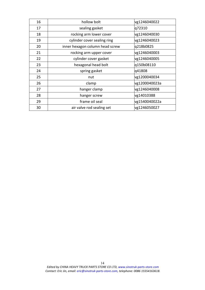| 16 | hollow bolt                     | vg1246040022  |
|----|---------------------------------|---------------|
| 17 | sealing gasket                  | q72310        |
| 18 | rocking arm lower cover         | vg1246040030  |
| 19 | cylinder cover sealing ring     | vg1246040023  |
| 20 | inner hexagon column head screw | q218b0825     |
| 21 | rocking arm upper cover         | vg1246040003  |
| 22 | cylinder cover gasket           | vg1246040005  |
| 23 | hexagonal head bolt             | q150b08110    |
| 24 | spring gasket                   | q41808        |
| 25 | nut                             | vg1200040034  |
| 26 | clamp                           | vg1200040023a |
| 27 | hanger clamp                    | vg1246040008  |
| 28 | hanger screw                    | vg14010388    |
| 29 | frame oil seal                  | vg1540040022a |
| 30 | air valve rod sealing set       | vg1246050027  |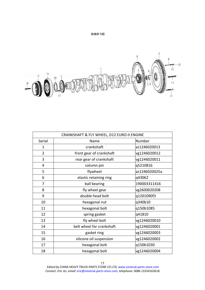

曲轴和飞轮

| CRANKSHAFT & FLY WHEEL, D12 EURO-II ENGINE |                           |               |
|--------------------------------------------|---------------------------|---------------|
| Serial                                     | Name                      | Number        |
| 1                                          | crankshaft                | az1246020013  |
| $\overline{2}$                             | front gear of crankshaft  | vg1246020012  |
| 3                                          | rear gear of crankshaft   | vg1246020011  |
| 4                                          | column pin                | q5210816      |
| 5                                          | flywheel                  | az1246020025a |
| 6                                          | elastic retaining ring    | q43062        |
| $\overline{7}$                             | ball bearing              | 190003311416  |
| 8                                          | fly wheel gear            | vg2600020208  |
| 9                                          | double head bolt          | q1201090f3    |
| 10                                         | hexagonal nut             | q340b10       |
| 11                                         | hexagonal bolt            | q150b1085     |
| 12                                         | spring gasket             | q41810        |
| 13                                         | fly wheel bolt            | vg1246020010  |
| 14                                         | belt wheel for crankshaft | vg1246020001  |
| 15                                         | gasket ring               | vg1246020003  |
| 16                                         | silicone oil suspension   | vg1246020002  |
| 17                                         | hexagonal bolt            | q150b1030     |
| 18                                         | hexagonal bolt            | vg1246020004  |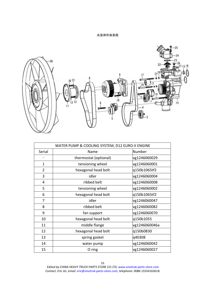## 水泵和冷却系统



| WATER PUMP & COOLING SYSTEM, D12 EURO-II ENGINE |                       |               |  |  |
|-------------------------------------------------|-----------------------|---------------|--|--|
| Serial                                          | Name                  | Number        |  |  |
|                                                 | thermostat (optional) | vg1246060029  |  |  |
| $\mathbf{1}$                                    | tensioning wheel      | vg1246060001  |  |  |
| $\overline{2}$                                  | hexagonal head bolt   | q150b1065tf2  |  |  |
| 3                                               | idler                 | vg1246060004  |  |  |
| 4                                               | ribbed belt           | vg1246060008  |  |  |
| 5                                               | tensioning wheel      | vg1246060002  |  |  |
| 6                                               | hexagonal head bolt   | q150b1065tf2  |  |  |
| 7                                               | idler                 | vg1246060047  |  |  |
| 8                                               | ribbed belt           | vg1246060082  |  |  |
| 9                                               | fan support           | vg1246060070  |  |  |
| 10                                              | hexagonal head bolt   | q150b1055     |  |  |
| 11                                              | middle flange         | vg1246060046a |  |  |
| 12                                              | hexagonal head bolt   | q150b0830     |  |  |
| 13                                              | spring gasket         | q40308        |  |  |
| 14                                              | water pump            | vg1246060042  |  |  |
| 15                                              | O ring                | vg1246060027  |  |  |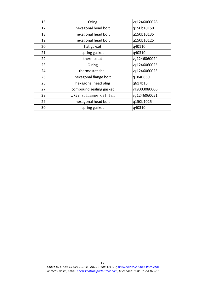| 16 | Oring                   | vg1246060028 |
|----|-------------------------|--------------|
| 17 | hexagonal head bolt     | q150b10150   |
| 18 | hexagonal head bolt     | q150b10135   |
| 19 | hexagonal head bolt     | q150b10125   |
| 20 | flat gakset             | q40110       |
| 21 | spring gasket           | q40310       |
| 22 | thermostat              | vg1246060024 |
| 23 | O ring                  | vg1246060025 |
| 24 | thermostat shell        | vg1246060023 |
| 25 | hexagonal flange bolt   | q1840850     |
| 26 | hexagonal head plug     | q617b16      |
| 27 | compound sealing gasket | vg9003080006 |
| 28 | φ758 silicone oil fan   | vg1246060051 |
| 29 | hexagonal head bolt     | q150b1025    |
| 30 | spring gasket           | q40310       |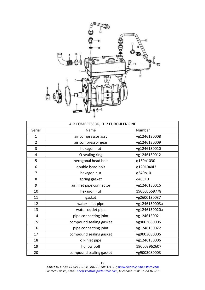

|                | AIR COMPRESSOR, D12 EURO-II ENGINE |               |
|----------------|------------------------------------|---------------|
| Serial         | Name                               | Number        |
| 1              | air compressor assy                | vg1246130008  |
| $\overline{2}$ | air compressor gear                | vg1246130009  |
| 3              | hexagon nut                        | vg1246130010  |
| 4              | O-sealing ring                     | vg1246130012  |
| 5              | hexagonal head bolt                | q150b1030     |
| 6              | double head bolt                   | q1201040f3    |
| 7              | hexagon nut                        | q340b10       |
| 8              | spring gasket                      | q40310        |
| 9              | air inlet pipe connector           | vg1246130016  |
| 10             | hexagon nut                        | 190003559778  |
| 11             | gasket                             | vg2600130037  |
| 12             | water-inlet pipe                   | vg1246130003a |
| 13             | water-outlet pipe                  | vg1246130020a |
| 14             | pipe connecting joint              | vg1246130021  |
| 15             | compound sealing gasket            | vg9003080005  |
| 16             | pipe connecting joint              | vg1246130022  |
| 17             | compound sealing gasket            | vg9003080006  |
| 18             | oil-inlet pipe                     | vg1246130006  |
| 19             | hollow bolt                        | 190003962607  |
| 20             | compound sealing gasket            | vg9003080003  |